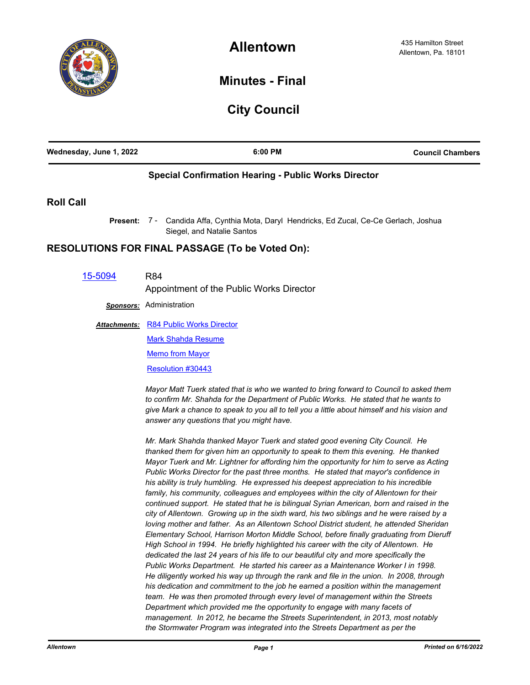

## **Minutes - Final**

## **City Council**

| Wednesday, June 1, 2022 | 6:00 PM                                                                                                                                                                                                                                                                                                                                                                                                                                                                                                                                                                                                                                                                                                                                                                                                                                                                                                                        | <b>Council Chambers</b> |
|-------------------------|--------------------------------------------------------------------------------------------------------------------------------------------------------------------------------------------------------------------------------------------------------------------------------------------------------------------------------------------------------------------------------------------------------------------------------------------------------------------------------------------------------------------------------------------------------------------------------------------------------------------------------------------------------------------------------------------------------------------------------------------------------------------------------------------------------------------------------------------------------------------------------------------------------------------------------|-------------------------|
|                         | <b>Special Confirmation Hearing - Public Works Director</b>                                                                                                                                                                                                                                                                                                                                                                                                                                                                                                                                                                                                                                                                                                                                                                                                                                                                    |                         |
| <b>Roll Call</b>        |                                                                                                                                                                                                                                                                                                                                                                                                                                                                                                                                                                                                                                                                                                                                                                                                                                                                                                                                |                         |
| Present:                | 7 - Candida Affa, Cynthia Mota, Daryl Hendricks, Ed Zucal, Ce-Ce Gerlach, Joshua<br>Siegel, and Natalie Santos                                                                                                                                                                                                                                                                                                                                                                                                                                                                                                                                                                                                                                                                                                                                                                                                                 |                         |
|                         | <b>RESOLUTIONS FOR FINAL PASSAGE (To be Voted On):</b>                                                                                                                                                                                                                                                                                                                                                                                                                                                                                                                                                                                                                                                                                                                                                                                                                                                                         |                         |
| 15-5094                 | <b>R84</b>                                                                                                                                                                                                                                                                                                                                                                                                                                                                                                                                                                                                                                                                                                                                                                                                                                                                                                                     |                         |
|                         | Appointment of the Public Works Director                                                                                                                                                                                                                                                                                                                                                                                                                                                                                                                                                                                                                                                                                                                                                                                                                                                                                       |                         |
|                         | <b>Sponsors:</b> Administration                                                                                                                                                                                                                                                                                                                                                                                                                                                                                                                                                                                                                                                                                                                                                                                                                                                                                                |                         |
| <b>Attachments:</b>     | <b>R84 Public Works Director</b>                                                                                                                                                                                                                                                                                                                                                                                                                                                                                                                                                                                                                                                                                                                                                                                                                                                                                               |                         |
|                         | <b>Mark Shahda Resume</b>                                                                                                                                                                                                                                                                                                                                                                                                                                                                                                                                                                                                                                                                                                                                                                                                                                                                                                      |                         |
|                         | <b>Memo from Mayor</b>                                                                                                                                                                                                                                                                                                                                                                                                                                                                                                                                                                                                                                                                                                                                                                                                                                                                                                         |                         |
|                         | Resolution #30443                                                                                                                                                                                                                                                                                                                                                                                                                                                                                                                                                                                                                                                                                                                                                                                                                                                                                                              |                         |
|                         | Mayor Matt Tuerk stated that is who we wanted to bring forward to Council to asked them<br>to confirm Mr. Shahda for the Department of Public Works. He stated that he wants to<br>give Mark a chance to speak to you all to tell you a little about himself and his vision and<br>answer any questions that you might have.                                                                                                                                                                                                                                                                                                                                                                                                                                                                                                                                                                                                   |                         |
|                         | Mr. Mark Shahda thanked Mayor Tuerk and stated good evening City Council. He<br>thanked them for given him an opportunity to speak to them this evening. He thanked<br>Mayor Tuerk and Mr. Lightner for affording him the opportunity for him to serve as Acting<br>Public Works Director for the past three months. He stated that mayor's confidence in<br>his ability is truly humbling. He expressed his deepest appreciation to his incredible<br>family, his community, colleagues and employees within the city of Allentown for their<br>continued support. He stated that he is bilingual Syrian American, born and raised in the<br>city of Allentown. Growing up in the sixth ward, his two siblings and he were raised by a<br>loving mother and father. As an Allentown School District student, he attended Sheridan<br>Elementary School, Harrison Morton Middle School, before finally graduating from Dieruff |                         |

*High School in 1994. He briefly highlighted his career with the city of Allentown. He dedicated the last 24 years of his life to our beautiful city and more specifically the Public Works Department. He started his career as a Maintenance Worker I in 1998. He diligently worked his way up through the rank and file in the union. In 2008, through his dedication and commitment to the job he earned a position within the management team. He was then promoted through every level of management within the Streets Department which provided me the opportunity to engage with many facets of management. In 2012, he became the Streets Superintendent, in 2013, most notably the Stormwater Program was integrated into the Streets Department as per the*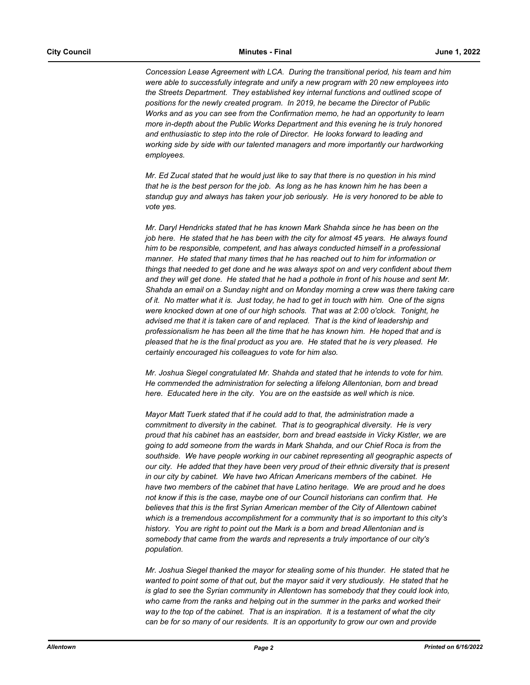*Concession Lease Agreement with LCA. During the transitional period, his team and him were able to successfully integrate and unify a new program with 20 new employees into the Streets Department. They established key internal functions and outlined scope of positions for the newly created program. In 2019, he became the Director of Public Works and as you can see from the Confirmation memo, he had an opportunity to learn more in-depth about the Public Works Department and this evening he is truly honored and enthusiastic to step into the role of Director. He looks forward to leading and working side by side with our talented managers and more importantly our hardworking employees.*

*Mr. Ed Zucal stated that he would just like to say that there is no question in his mind that he is the best person for the job. As long as he has known him he has been a standup guy and always has taken your job seriously. He is very honored to be able to vote yes.*

*Mr. Daryl Hendricks stated that he has known Mark Shahda since he has been on the job here. He stated that he has been with the city for almost 45 years. He always found him to be responsible, competent, and has always conducted himself in a professional manner. He stated that many times that he has reached out to him for information or things that needed to get done and he was always spot on and very confident about them and they will get done. He stated that he had a pothole in front of his house and sent Mr. Shahda an email on a Sunday night and on Monday morning a crew was there taking care of it. No matter what it is. Just today, he had to get in touch with him. One of the signs were knocked down at one of our high schools. That was at 2:00 o'clock. Tonight, he advised me that it is taken care of and replaced. That is the kind of leadership and professionalism he has been all the time that he has known him. He hoped that and is pleased that he is the final product as you are. He stated that he is very pleased. He certainly encouraged his colleagues to vote for him also.*

*Mr. Joshua Siegel congratulated Mr. Shahda and stated that he intends to vote for him. He commended the administration for selecting a lifelong Allentonian, born and bread here. Educated here in the city. You are on the eastside as well which is nice.*

*Mayor Matt Tuerk stated that if he could add to that, the administration made a commitment to diversity in the cabinet. That is to geographical diversity. He is very proud that his cabinet has an eastsider, born and bread eastside in Vicky Kistler, we are going to add someone from the wards in Mark Shahda, and our Chief Roca is from the southside. We have people working in our cabinet representing all geographic aspects of our city. He added that they have been very proud of their ethnic diversity that is present in our city by cabinet. We have two African Americans members of the cabinet. He have two members of the cabinet that have Latino heritage. We are proud and he does not know if this is the case, maybe one of our Council historians can confirm that. He believes that this is the first Syrian American member of the City of Allentown cabinet which is a tremendous accomplishment for a community that is so important to this city's history. You are right to point out the Mark is a born and bread Allentonian and is somebody that came from the wards and represents a truly importance of our city's population.*

*Mr. Joshua Siegel thanked the mayor for stealing some of his thunder. He stated that he wanted to point some of that out, but the mayor said it very studiously. He stated that he is glad to see the Syrian community in Allentown has somebody that they could look into, who came from the ranks and helping out in the summer in the parks and worked their way to the top of the cabinet. That is an inspiration. It is a testament of what the city can be for so many of our residents. It is an opportunity to grow our own and provide*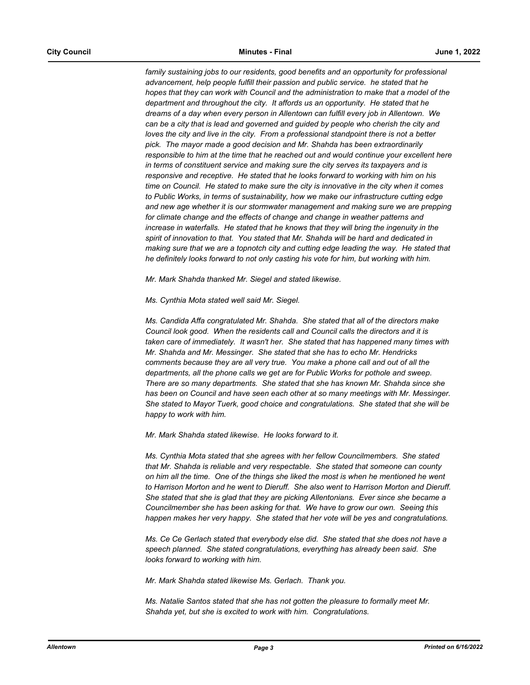family sustaining jobs to our residents, good benefits and an opportunity for professional *advancement, help people fulfill their passion and public service. he stated that he hopes that they can work with Council and the administration to make that a model of the department and throughout the city. It affords us an opportunity. He stated that he dreams of a day when every person in Allentown can fulfill every job in Allentown. We can be a city that is lead and governed and guided by people who cherish the city and loves the city and live in the city. From a professional standpoint there is not a better pick. The mayor made a good decision and Mr. Shahda has been extraordinarily responsible to him at the time that he reached out and would continue your excellent here in terms of constituent service and making sure the city serves its taxpayers and is responsive and receptive. He stated that he looks forward to working with him on his time on Council. He stated to make sure the city is innovative in the city when it comes to Public Works, in terms of sustainability, how we make our infrastructure cutting edge and new age whether it is our stormwater management and making sure we are prepping for climate change and the effects of change and change in weather patterns and increase in waterfalls. He stated that he knows that they will bring the ingenuity in the spirit of innovation to that. You stated that Mr. Shahda will be hard and dedicated in making sure that we are a topnotch city and cutting edge leading the way. He stated that he definitely looks forward to not only casting his vote for him, but working with him.*

*Mr. Mark Shahda thanked Mr. Siegel and stated likewise.*

*Ms. Cynthia Mota stated well said Mr. Siegel.*

*Ms. Candida Affa congratulated Mr. Shahda. She stated that all of the directors make Council look good. When the residents call and Council calls the directors and it is taken care of immediately. It wasn't her. She stated that has happened many times with Mr. Shahda and Mr. Messinger. She stated that she has to echo Mr. Hendricks comments because they are all very true. You make a phone call and out of all the departments, all the phone calls we get are for Public Works for pothole and sweep. There are so many departments. She stated that she has known Mr. Shahda since she has been on Council and have seen each other at so many meetings with Mr. Messinger. She stated to Mayor Tuerk, good choice and congratulations. She stated that she will be happy to work with him.*

*Mr. Mark Shahda stated likewise. He looks forward to it.*

*Ms. Cynthia Mota stated that she agrees with her fellow Councilmembers. She stated that Mr. Shahda is reliable and very respectable. She stated that someone can county on him all the time. One of the things she liked the most is when he mentioned he went to Harrison Morton and he went to Dieruff. She also went to Harrison Morton and Dieruff. She stated that she is glad that they are picking Allentonians. Ever since she became a Councilmember she has been asking for that. We have to grow our own. Seeing this happen makes her very happy. She stated that her vote will be yes and congratulations.*

*Ms. Ce Ce Gerlach stated that everybody else did. She stated that she does not have a speech planned. She stated congratulations, everything has already been said. She looks forward to working with him.*

*Mr. Mark Shahda stated likewise Ms. Gerlach. Thank you.*

*Ms. Natalie Santos stated that she has not gotten the pleasure to formally meet Mr. Shahda yet, but she is excited to work with him. Congratulations.*